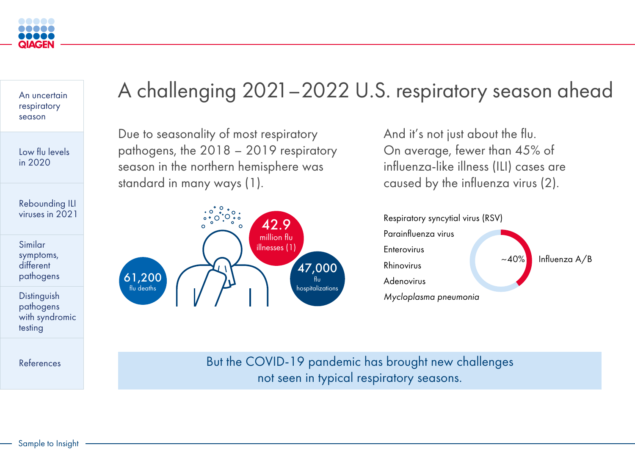# A challenging 2021–2022 U.S. respiratory season ahead

Due to seasonality of most respiratory pathogens, the 2018 – 2019 respiratory season in the northern hemisphere was standard in many ways (1).

**Distinguish** pathogens [with syndromic](#page-4-0)  testing

And it's not just about the flu. On average, fewer than 45% of influenza-like illness (ILI) cases are caused by the influenza virus (2).

[References](#page-5-0) and the COVID-19 pandemic has brought new challenges not seen in typical respiratory seasons.

<span id="page-0-0"></span>

[An uncertain](#page-0-0)  respiratory season

[Low flu levels](#page-1-0)  in 2020

[Rebounding ILI](#page-2-0)  viruses in 2021

Similar [symptoms,](#page-3-0)  different pathogens



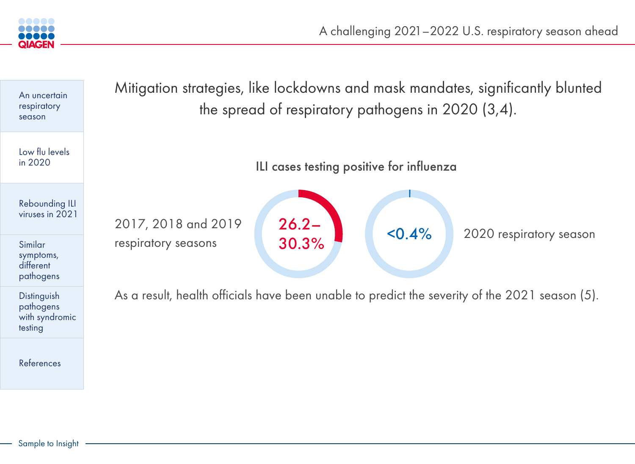on strategies, like lockdowns and mask mandates, significantly blunted the spread of respiratory pathogens in 2020 (3,4).

ILI cases testing positive for influenza

health officials have been unable to predict the severity of the 2021 season (5).



<span id="page-1-0"></span>

| An uncertain<br>respiratory<br>season                 | Mitigatio    |
|-------------------------------------------------------|--------------|
| Low flu levels<br>in 2020                             |              |
| <b>Rebounding ILI</b><br>viruses in 2021              | 2017, 201    |
| Similar<br>symptoms,<br>different<br>pathogens        | respiratory  |
| Distinguish<br>pathogens<br>with syndromic<br>testing | As a result, |
| References                                            |              |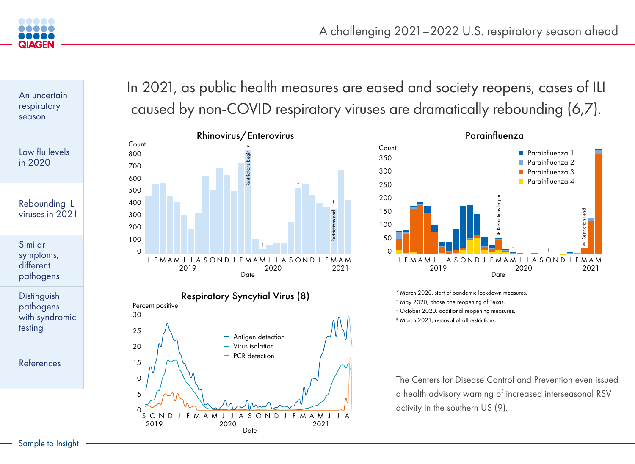## In 2021, as public health measures are eased and society reopens, cases of ILI caused by non-COVID respiratory viruses are dramatically rebounding (6,7).

The Centers for Disease Control and Prevention even issued a health advisory warning of increased interseasonal RSV activity in the southern US (9).



### Parainfluenza Count **Parainfluenza** 1 350 Parainfluenza 2  $\sim 10$ 300 Parainfluenza 3 Parainfluenza 4 **The Second** 250 200 Restrictions begin 150 100 \* 50 † ‡  $\Omega$ J F M A M J J A S O N D J F M A M J J A S O N D J F M A M 2019 2020 **Date**

\*March 2020, start of pandemic lockdown measures.

† May 2020, phase one reopening of Texas.

‡ October 2020, additional reopening measures.

§ March 2021, removal of all restrictions.

**Distinguish** pathogens [with syndromic](#page-4-0)  testing





<span id="page-2-0"></span>

[An uncertain](#page-0-0)  respiratory season

[Low flu levels](#page-1-0)  in 2020

[Rebounding ILI](#page-2-0)  viruses in 2021



Similar [symptoms,](#page-3-0)  different pathogens

[References](#page-5-0)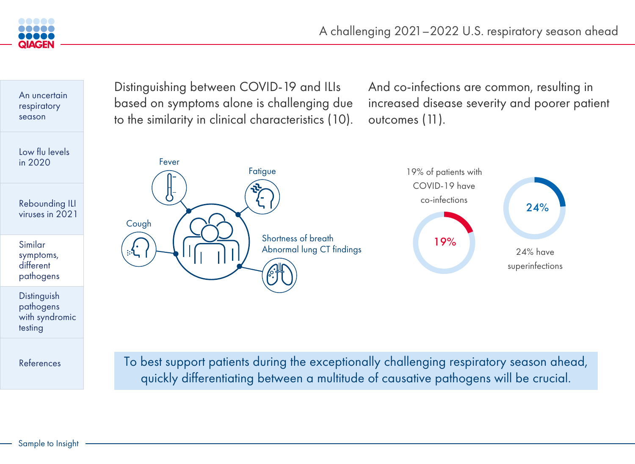

To best support patients during the exceptionally challenging respiratory season ahead, quickly differentiating between a multitude of causative pathogens will be crucial.







<span id="page-3-0"></span>

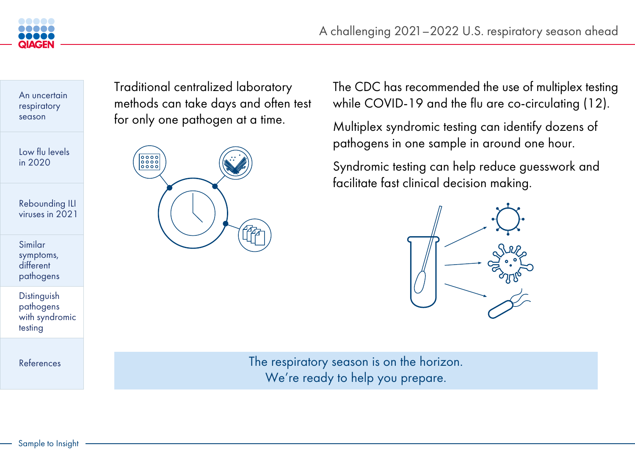Traditional centralized laboratory methods can take days and often test for only one pathogen at a time.



The respiratory season is on the horizon. We're ready to help you prepare.

The CDC has recommended the use of multiplex testing while COVID-19 and the flu are co-circulating (12).

**Distinguish** pathogens [with syndromic](#page-4-0)  testing

Multiplex syndromic testing can identify dozens of pathogens in one sample in around one hour.

Syndromic testing can help reduce guesswork and facilitate fast clinical decision making.





<span id="page-4-0"></span>

[An uncertain](#page-0-0)  respiratory season

[Low flu levels](#page-1-0)  in 2020

[Rebounding ILI](#page-2-0)  viruses in 2021

Similar [symptoms,](#page-3-0)  different pathogens

[References](#page-5-0)